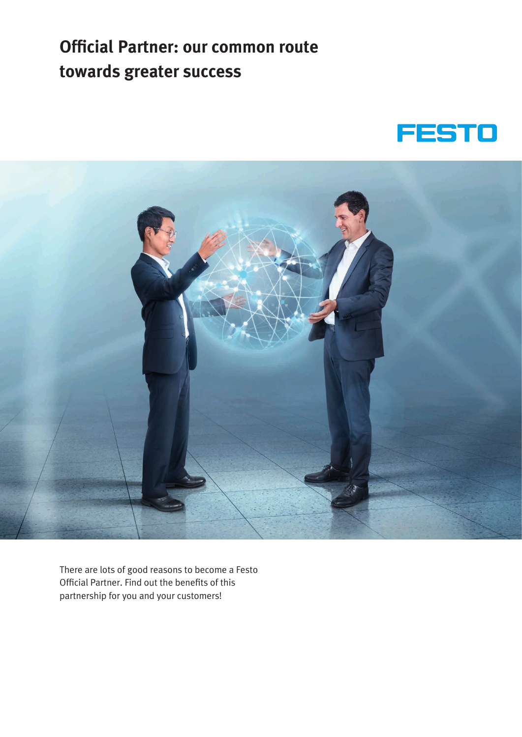# **Official Partner: our common route towards greater success**





There are lots of good reasons to become a Festo Official Partner. Find out the benefits of this partnership for you and your customers!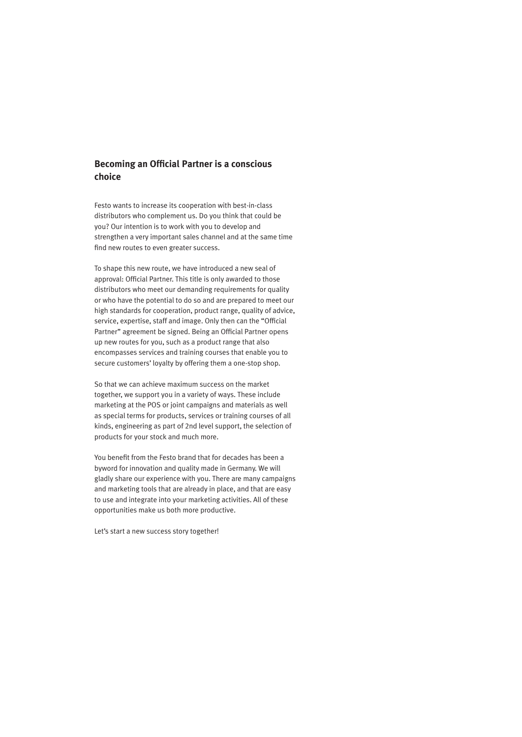#### **Becoming an Official Partner is a conscious choice**

Festo wants to increase its cooperation with best-in-class distributors who complement us. Do you think that could be you? Our intention is to work with you to develop and strengthen a very important sales channel and at the same time find new routes to even greater success.

To shape this new route, we have introduced a new seal of approval: Official Partner. This title is only awarded to those distributors who meet our demanding requirements for quality or who have the potential to do so and are prepared to meet our high standards for cooperation, product range, quality of advice, service, expertise, staff and image. Only then can the "Official Partner" agreement be signed. Being an Official Partner opens up new routes for you, such as a product range that also encompasses services and training courses that enable you to secure customers' loyalty by offering them a one-stop shop.

So that we can achieve maximum success on the market together, we support you in a variety of ways. These include marketing at the POS or joint campaigns and materials as well as special terms for products, services or training courses of all kinds, engineering as part of 2nd level support, the selection of products for your stock and much more.

You benefit from the Festo brand that for decades has been a byword for innovation and quality made in Germany. We will gladly share our experience with you. There are many campaigns and marketing tools that are already in place, and that are easy to use and integrate into your marketing activities. All of these opportunities make us both more productive.

Let's start a new success story together!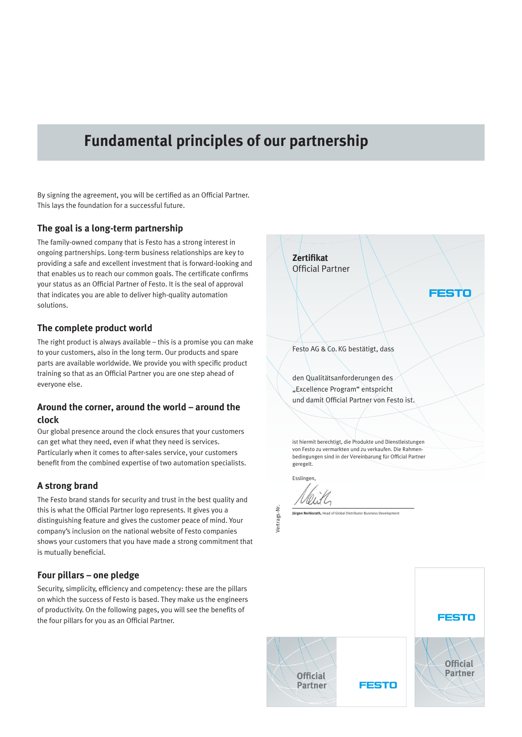### **Fundamental principles of our partnership**

By signing the agreement, you will be certified as an Official Partner. This lays the foundation for a successful future.

#### **The goal is a long-term partnership**

The family-owned company that is Festo has a strong interest in ongoing partnerships. Long-term business relationships are key to providing a safe and excellent investment that is forward-looking and that enables us to reach our common goals. The certificate confirms your status as an Official Partner of Festo. It is the seal of approval that indicates you are able to deliver high-quality automation solutions.

#### **The complete product world**

The right product is always available – this is a promise you can make to your customers, also in the long term. Our products and spare parts are available worldwide. We provide you with specific product training so that as an Official Partner you are one step ahead of everyone else.

#### **Around the corner, around the world – around the clock**

Our global presence around the clock ensures that your customers can get what they need, even if what they need is services. Particularly when it comes to after-sales service, your customers benefit from the combined expertise of two automation specialists.

#### **A strong brand**

The Festo brand stands for security and trust in the best quality and this is what the Official Partner logo represents. It gives you a distinguishing feature and gives the customer peace of mind. Your company's inclusion on the national website of Festo companies shows your customers that you have made a strong commitment that is mutually beneficial.

#### **Four pillars – one pledge**

Security, simplicity, efficiency and competency: these are the pillars on which the success of Festo is based. They make us the engineers of productivity. On the following pages, you will see the benefits of the four pillars for you as an Official Partner.



**FESTO** 

**Official Partner** 



**FESTO**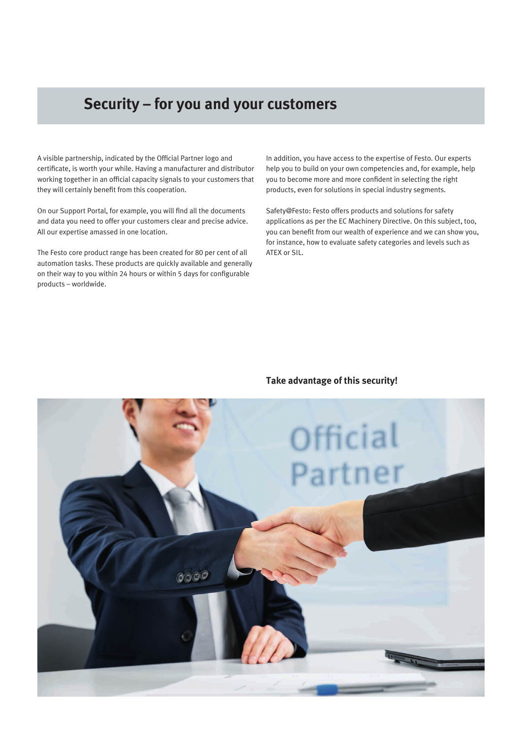# **Security – for you and your customers**

A visible partnership, indicated by the Official Partner logo and certificate, is worth your while. Having a manufacturer and distributor working together in an official capacity signals to your customers that they will certainly benefit from this cooperation.

On our Support Portal, for example, you will find all the documents and data you need to offer your customers clear and precise advice. All our expertise amassed in one location.

The Festo core product range has been created for 80 per cent of all automation tasks. These products are quickly available and generally on their way to you within 24 hours or within 5 days for configurable products – worldwide.

In addition, you have access to the expertise of Festo. Our experts help you to build on your own competencies and, for example, help you to become more and more confident in selecting the right products, even for solutions in special industry segments.

Safety@Festo: Festo offers products and solutions for safety applications as per the EC Machinery Directive. On this subject, too, you can benefit from our wealth of experience and we can show you, for instance, how to evaluate safety categories and levels such as ATEX or SIL.

#### **Take advantage of this security!**

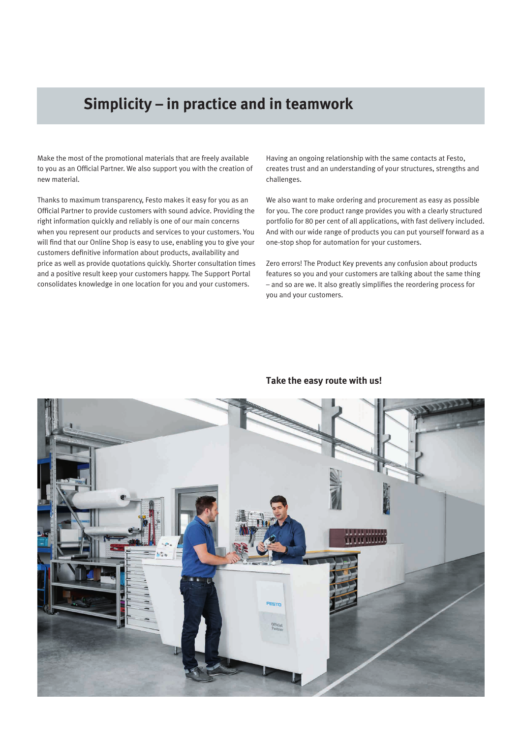# **Simplicity – in practice and in teamwork**

Make the most of the promotional materials that are freely available to you as an Official Partner. We also support you with the creation of new material.

Thanks to maximum transparency, Festo makes it easy for you as an Official Partner to provide customers with sound advice. Providing the right information quickly and reliably is one of our main concerns when you represent our products and services to your customers. You will find that our Online Shop is easy to use, enabling you to give your customers definitive information about products, availability and price as well as provide quotations quickly. Shorter consultation times and a positive result keep your customers happy. The Support Portal consolidates knowledge in one location for you and your customers.

Having an ongoing relationship with the same contacts at Festo, creates trust and an understanding of your structures, strengths and challenges.

We also want to make ordering and procurement as easy as possible for you. The core product range provides you with a clearly structured portfolio for 80 per cent of all applications, with fast delivery included. And with our wide range of products you can put yourself forward as a one-stop shop for automation for your customers.

Zero errors! The Product Key prevents any confusion about products features so you and your customers are talking about the same thing – and so are we. It also greatly simplifies the reordering process for you and your customers.



#### **Take the easy route with us!**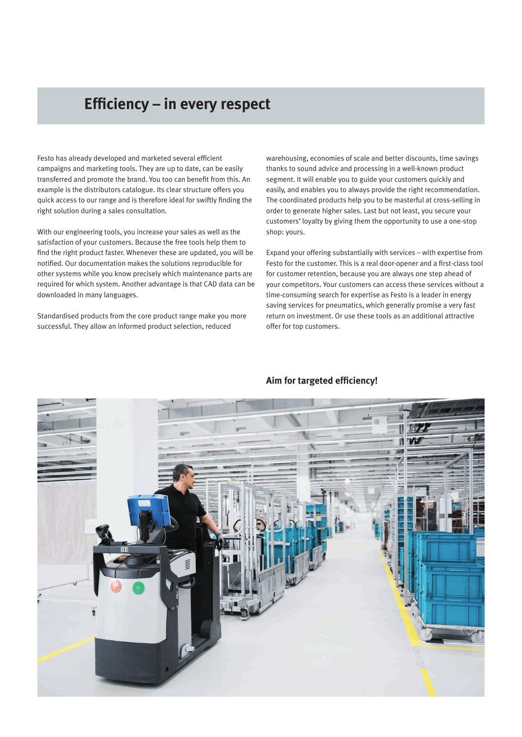### **Efficiency – in every respect**

Festo has already developed and marketed several efficient campaigns and marketing tools. They are up to date, can be easily transferred and promote the brand. You too can benefit from this. An example is the distributors catalogue. Its clear structure offers you quick access to our range and is therefore ideal for swiftly finding the right solution during a sales consultation.

With our engineering tools, you increase your sales as well as the satisfaction of your customers. Because the free tools help them to find the right product faster. Whenever these are updated, you will be notified. Our documentation makes the solutions reproducible for other systems while you know precisely which maintenance parts are required for which system. Another advantage is that CAD data can be downloaded in many languages.

Standardised products from the core product range make you more successful. They allow an informed product selection, reduced

warehousing, economies of scale and better discounts, time savings thanks to sound advice and processing in a well-known product segment. It will enable you to guide your customers quickly and easily, and enables you to always provide the right recommendation. The coordinated products help you to be masterful at cross-selling in order to generate higher sales. Last but not least, you secure your customers' loyalty by giving them the opportunity to use a one-stop shop: yours.

Expand your offering substantially with services – with expertise from Festo for the customer. This is a real door-opener and a first-class tool for customer retention, because you are always one step ahead of your competitors. Your customers can access these services without a time-consuming search for expertise as Festo is a leader in energy saving services for pneumatics, which generally promise a very fast return on investment. Or use these tools as an additional attractive offer for top customers.



#### **Aim for targeted efficiency!**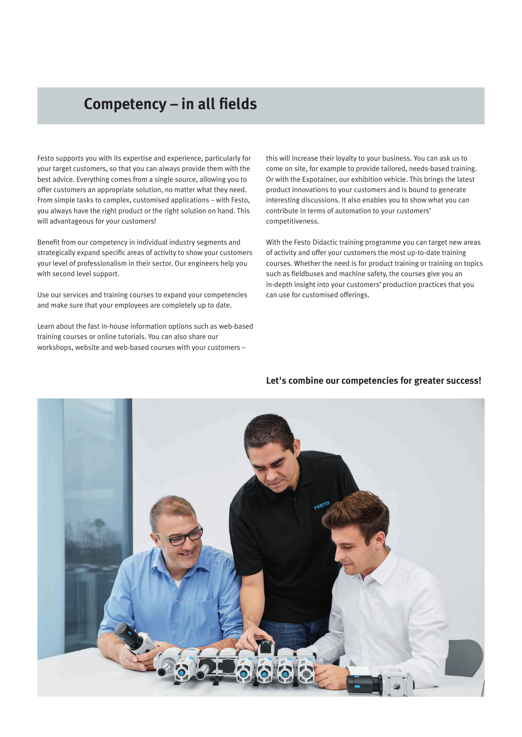# **Competency – in all fields**

Festo supports you with its expertise and experience, particularly for your target customers, so that you can always provide them with the best advice. Everything comes from a single source, allowing you to offer customers an appropriate solution, no matter what they need. From simple tasks to complex, customised applications – with Festo, you always have the right product or the right solution on hand. This will advantageous for your customers!

Benefit from our competency in individual industry segments and strategically expand specific areas of activity to show your customers your level of professionalism in their sector. Our engineers help you with second level support.

Use our services and training courses to expand your competencies and make sure that your employees are completely up to date.

Learn about the fast in-house information options such as web-based training courses or online tutorials. You can also share our workshops, website and web-based courses with your customers –

this will increase their loyalty to your business. You can ask us to come on site, for example to provide tailored, needs-based training. Or with the Expotainer, our exhibition vehicle. This brings the latest product innovations to your customers and is bound to generate interesting discussions. It also enables you to show what you can contribute in terms of automation to your customers' competitiveness.

With the Festo Didactic training programme you can target new areas of activity and offer your customers the most up-to-date training courses. Whether the need is for product training or training on topics such as fieldbuses and machine safety, the courses give you an in-depth insight into your customers' production practices that you can use for customised offerings.



#### **Let's combine our competencies for greater success!**